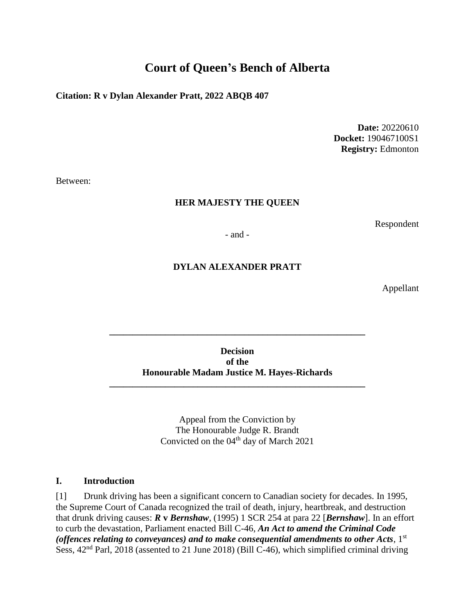# **Court of Queen's Bench of Alberta**

#### **Citation: R v Dylan Alexander Pratt, 2022 ABQB 407**

**Date:** 20220610 **Docket:** 190467100S1 **Registry:** Edmonton

Between:

#### **HER MAJESTY THE QUEEN**

Respondent

- and -

#### **DYLAN ALEXANDER PRATT**

Appellant

#### **Decision of the Honourable Madam Justice M. Hayes-Richards**

**\_\_\_\_\_\_\_\_\_\_\_\_\_\_\_\_\_\_\_\_\_\_\_\_\_\_\_\_\_\_\_\_\_\_\_\_\_\_\_\_\_\_\_\_\_\_\_\_\_\_\_\_\_\_\_**

**\_\_\_\_\_\_\_\_\_\_\_\_\_\_\_\_\_\_\_\_\_\_\_\_\_\_\_\_\_\_\_\_\_\_\_\_\_\_\_\_\_\_\_\_\_\_\_\_\_\_\_\_\_\_\_**

Appeal from the Conviction by The Honourable Judge R. Brandt Convicted on the  $04<sup>th</sup>$  day of March 2021

#### **I. Introduction**

[1] Drunk driving has been a significant concern to Canadian society for decades. In 1995, the Supreme Court of Canada recognized the trail of death, injury, heartbreak, and destruction that drunk driving causes: *R* **v** *Bernshaw,* (1995) 1 SCR 254 at para 22 [*Bernshaw*]. In an effort to curb the devastation, Parliament enacted Bill C-46, *An Act to amend the Criminal Code*  (offences relating to conveyances) and to make consequential amendments to other  $Acts, 1<sup>st</sup>$ Sess,  $42<sup>nd</sup>$  Parl, 2018 (assented to 21 June 2018) (Bill C-46), which simplified criminal driving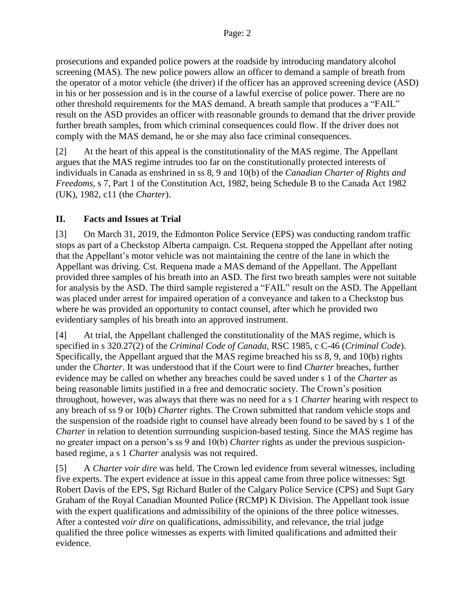prosecutions and expanded police powers at the roadside by introducing mandatory alcohol screening (MAS). The new police powers allow an officer to demand a sample of breath from the operator of a motor vehicle (the driver) if the officer has an approved screening device (ASD) in his or her possession and is in the course of a lawful exercise of police power. There are no other threshold requirements for the MAS demand. A breath sample that produces a "FAIL" result on the ASD provides an officer with reasonable grounds to demand that the driver provide further breath samples, from which criminal consequences could flow. If the driver does not comply with the MAS demand, he or she may also face criminal consequences.

[2] At the heart of this appeal is the constitutionality of the MAS regime. The Appellant argues that the MAS regime intrudes too far on the constitutionally protected interests of individuals in Canada as enshrined in ss 8, 9 and 10(b) of the *Canadian Charter of Rights and Freedoms*, s 7, Part 1 of the Constitution Act, 1982, being Schedule B to the Canada Act 1982 (UK), 1982, c11 (the *Charter*).

## **II. Facts and Issues at Trial**

[3] On March 31, 2019, the Edmonton Police Service (EPS) was conducting random traffic stops as part of a Checkstop Alberta campaign. Cst. Requena stopped the Appellant after noting that the Appellant's motor vehicle was not maintaining the centre of the lane in which the Appellant was driving. Cst. Requena made a MAS demand of the Appellant. The Appellant provided three samples of his breath into an ASD. The first two breath samples were not suitable for analysis by the ASD. The third sample registered a "FAIL" result on the ASD. The Appellant was placed under arrest for impaired operation of a conveyance and taken to a Checkstop bus where he was provided an opportunity to contact counsel, after which he provided two evidentiary samples of his breath into an approved instrument.

[4] At trial, the Appellant challenged the constitutionality of the MAS regime, which is specified in s 320.27(2) of the *Criminal Code of Canada,* RSC 1985, c C-46 (*Criminal Code*). Specifically, the Appellant argued that the MAS regime breached his ss 8, 9, and 10(b) rights under the *Charter*. It was understood that if the Court were to find *Charter* breaches, further evidence may be called on whether any breaches could be saved under s 1 of the *Charter* as being reasonable limits justified in a free and democratic society. The Crown's position throughout, however, was always that there was no need for a s 1 *Charter* hearing with respect to any breach of ss 9 or 10(b) *Charter* rights. The Crown submitted that random vehicle stops and the suspension of the roadside right to counsel have already been found to be saved by s 1 of the *Charter* in relation to detention surrounding suspicion-based testing. Since the MAS regime has no greater impact on a person's ss 9 and 10(b) *Charter* rights as under the previous suspicionbased regime, a s 1 *Charter* analysis was not required.

[5] A *Charter voir dire* was held. The Crown led evidence from several witnesses, including five experts. The expert evidence at issue in this appeal came from three police witnesses: Sgt Robert Davis of the EPS, Sgt Richard Butler of the Calgary Police Service (CPS) and Supt Gary Graham of the Royal Canadian Mounted Police (RCMP) K Division. The Appellant took issue with the expert qualifications and admissibility of the opinions of the three police witnesses. After a contested *voir dire* on qualifications, admissibility, and relevance, the trial judge qualified the three police witnesses as experts with limited qualifications and admitted their evidence.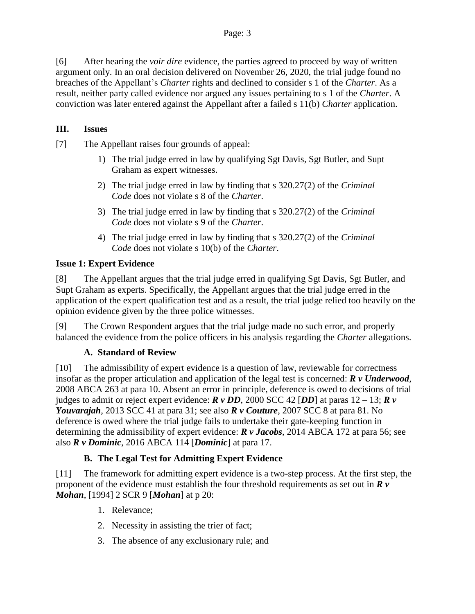[6] After hearing the *voir dire* evidence, the parties agreed to proceed by way of written argument only. In an oral decision delivered on November 26, 2020, the trial judge found no breaches of the Appellant's *Charter* rights and declined to consider s 1 of the *Charter*. As a result, neither party called evidence nor argued any issues pertaining to s 1 of the *Charter*. A conviction was later entered against the Appellant after a failed s 11(b) *Charter* application.

## **III. Issues**

[7] The Appellant raises four grounds of appeal:

- 1) The trial judge erred in law by qualifying Sgt Davis, Sgt Butler, and Supt Graham as expert witnesses.
- 2) The trial judge erred in law by finding that s 320.27(2) of the *Criminal Code* does not violate s 8 of the *Charter*.
- 3) The trial judge erred in law by finding that s 320.27(2) of the *Criminal Code* does not violate s 9 of the *Charter*.
- 4) The trial judge erred in law by finding that s 320.27(2) of the *Criminal Code* does not violate s 10(b) of the *Charter*.

## **Issue 1: Expert Evidence**

[8] The Appellant argues that the trial judge erred in qualifying Sgt Davis, Sgt Butler, and Supt Graham as experts. Specifically, the Appellant argues that the trial judge erred in the application of the expert qualification test and as a result, the trial judge relied too heavily on the opinion evidence given by the three police witnesses.

[9] The Crown Respondent argues that the trial judge made no such error, and properly balanced the evidence from the police officers in his analysis regarding the *Charter* allegations.

## **A. Standard of Review**

[10] The admissibility of expert evidence is a question of law, reviewable for correctness insofar as the proper articulation and application of the legal test is concerned: *R v Underwood*, 2008 ABCA 263 at para 10. Absent an error in principle, deference is owed to decisions of trial judges to admit or reject expert evidence: *R v DD*, 2000 SCC 42 [*DD*] at paras 12 – 13; *R v Youvarajah*, 2013 SCC 41 at para 31; see also *R v Couture*, 2007 SCC 8 at para 81. No deference is owed where the trial judge fails to undertake their gate-keeping function in determining the admissibility of expert evidence: *R v Jacobs*, 2014 ABCA 172 at para 56; see also *R v Dominic*, 2016 ABCA 114 [*Dominic*] at para 17.

## **B. The Legal Test for Admitting Expert Evidence**

[11] The framework for admitting expert evidence is a two-step process. At the first step, the proponent of the evidence must establish the four threshold requirements as set out in *R v Mohan*, [1994] 2 SCR 9 [*Mohan*] at p 20:

- 1. Relevance;
- 2. Necessity in assisting the trier of fact;
- 3. The absence of any exclusionary rule; and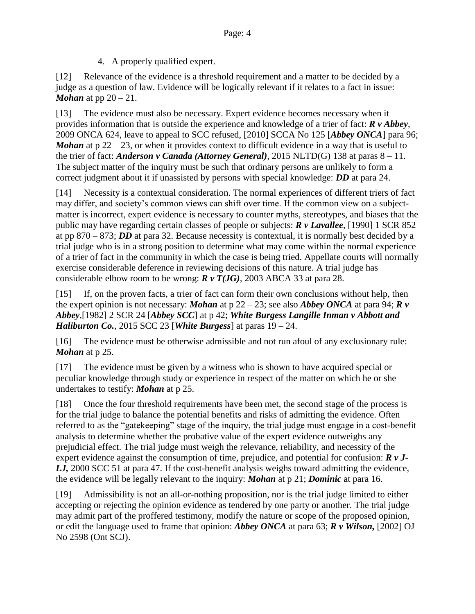4. A properly qualified expert.

[12] Relevance of the evidence is a threshold requirement and a matter to be decided by a judge as a question of law. Evidence will be logically relevant if it relates to a fact in issue: *Mohan* at pp 20 – 21.

[13] The evidence must also be necessary. Expert evidence becomes necessary when it provides information that is outside the experience and knowledge of a trier of fact: *R v Abbey*, 2009 ONCA 624, leave to appeal to SCC refused, [2010] SCCA No 125 [*Abbey ONCA*] para 96; *Mohan* at  $p 22 - 23$ , or when it provides context to difficult evidence in a way that is useful to the trier of fact: *Anderson v Canada (Attorney General)*, 2015 NLTD(G) 138 at paras  $8 - 11$ . The subject matter of the inquiry must be such that ordinary persons are unlikely to form a correct judgment about it if unassisted by persons with special knowledge: *DD* at para 24.

[14] Necessity is a contextual consideration. The normal experiences of different triers of fact may differ, and society's common views can shift over time. If the common view on a subjectmatter is incorrect, expert evidence is necessary to counter myths, stereotypes, and biases that the public may have regarding certain classes of people or subjects: *R v Lavallee*, [1990] 1 SCR 852 at pp 870 – 873; *DD* at para 32. Because necessity is contextual, it is normally best decided by a trial judge who is in a strong position to determine what may come within the normal experience of a trier of fact in the community in which the case is being tried. Appellate courts will normally exercise considerable deference in reviewing decisions of this nature. A trial judge has considerable elbow room to be wrong: *R v T(JG)*, 2003 ABCA 33 at para 28.

[15] If, on the proven facts, a trier of fact can form their own conclusions without help, then the expert opinion is not necessary: *Mohan* at p  $22 - 23$ ; see also *Abbey ONCA* at para 94; *R v Abbey,*[1982] 2 SCR 24 [*Abbey SCC*] at p 42; *White Burgess Langille Inman v Abbott and Haliburton Co.*, 2015 SCC 23 [*White Burgess*] at paras  $19 - 24$ .

[16] The evidence must be otherwise admissible and not run afoul of any exclusionary rule: *Mohan* at p 25.

[17] The evidence must be given by a witness who is shown to have acquired special or peculiar knowledge through study or experience in respect of the matter on which he or she undertakes to testify: *Mohan* at p 25.

[18] Once the four threshold requirements have been met, the second stage of the process is for the trial judge to balance the potential benefits and risks of admitting the evidence. Often referred to as the "gatekeeping" stage of the inquiry, the trial judge must engage in a cost-benefit analysis to determine whether the probative value of the expert evidence outweighs any prejudicial effect. The trial judge must weigh the relevance, reliability, and necessity of the expert evidence against the consumption of time, prejudice, and potential for confusion: *R v J-LJ,* 2000 SCC 51 at para 47. If the cost-benefit analysis weighs toward admitting the evidence, the evidence will be legally relevant to the inquiry: *Mohan* at p 21; *Dominic* at para 16.

[19] Admissibility is not an all-or-nothing proposition, nor is the trial judge limited to either accepting or rejecting the opinion evidence as tendered by one party or another. The trial judge may admit part of the proffered testimony, modify the nature or scope of the proposed opinion, or edit the language used to frame that opinion: *Abbey ONCA* at para 63; *R v Wilson,* [2002] OJ No 2598 (Ont SCJ).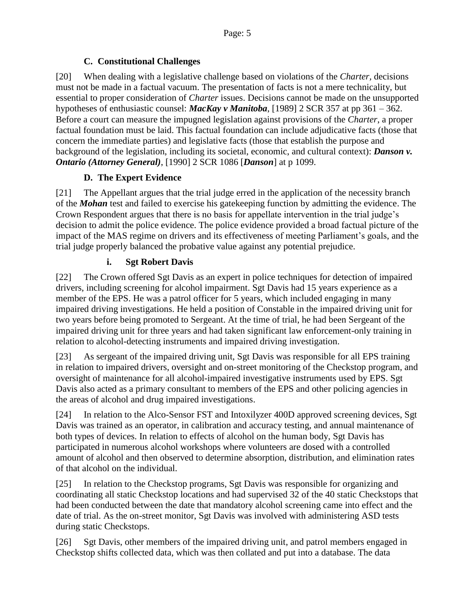### **C. Constitutional Challenges**

[20] When dealing with a legislative challenge based on violations of the *Charter,* decisions must not be made in a factual vacuum. The presentation of facts is not a mere technicality, but essential to proper consideration of *Charter* issues. Decisions cannot be made on the unsupported hypotheses of enthusiastic counsel: *MacKay v Manitoba*, [1989] 2 SCR 357 at pp 361 – 362. Before a court can measure the impugned legislation against provisions of the *Charter*, a proper factual foundation must be laid. This factual foundation can include adjudicative facts (those that concern the immediate parties) and legislative facts (those that establish the purpose and background of the legislation, including its societal, economic, and cultural context): *Danson v. Ontario (Attorney General)*, [1990] 2 SCR 1086 [*Danson*] at p 1099.

### **D. The Expert Evidence**

[21] The Appellant argues that the trial judge erred in the application of the necessity branch of the *Mohan* test and failed to exercise his gatekeeping function by admitting the evidence. The Crown Respondent argues that there is no basis for appellate intervention in the trial judge's decision to admit the police evidence. The police evidence provided a broad factual picture of the impact of the MAS regime on drivers and its effectiveness of meeting Parliament's goals, and the trial judge properly balanced the probative value against any potential prejudice.

### **i. Sgt Robert Davis**

[22] The Crown offered Sgt Davis as an expert in police techniques for detection of impaired drivers, including screening for alcohol impairment. Sgt Davis had 15 years experience as a member of the EPS. He was a patrol officer for 5 years, which included engaging in many impaired driving investigations. He held a position of Constable in the impaired driving unit for two years before being promoted to Sergeant. At the time of trial, he had been Sergeant of the impaired driving unit for three years and had taken significant law enforcement-only training in relation to alcohol-detecting instruments and impaired driving investigation.

[23] As sergeant of the impaired driving unit, Sgt Davis was responsible for all EPS training in relation to impaired drivers, oversight and on-street monitoring of the Checkstop program, and oversight of maintenance for all alcohol-impaired investigative instruments used by EPS. Sgt Davis also acted as a primary consultant to members of the EPS and other policing agencies in the areas of alcohol and drug impaired investigations.

[24] In relation to the Alco-Sensor FST and Intoxilyzer 400D approved screening devices, Sgt Davis was trained as an operator, in calibration and accuracy testing, and annual maintenance of both types of devices. In relation to effects of alcohol on the human body, Sgt Davis has participated in numerous alcohol workshops where volunteers are dosed with a controlled amount of alcohol and then observed to determine absorption, distribution, and elimination rates of that alcohol on the individual.

[25] In relation to the Checkstop programs, Sgt Davis was responsible for organizing and coordinating all static Checkstop locations and had supervised 32 of the 40 static Checkstops that had been conducted between the date that mandatory alcohol screening came into effect and the date of trial. As the on-street monitor, Sgt Davis was involved with administering ASD tests during static Checkstops.

[26] Sgt Davis, other members of the impaired driving unit, and patrol members engaged in Checkstop shifts collected data, which was then collated and put into a database. The data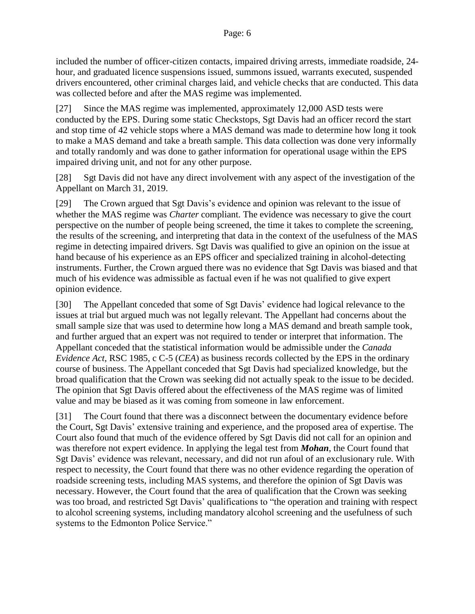included the number of officer-citizen contacts, impaired driving arrests, immediate roadside, 24 hour, and graduated licence suspensions issued, summons issued, warrants executed, suspended drivers encountered, other criminal charges laid, and vehicle checks that are conducted. This data was collected before and after the MAS regime was implemented.

[27] Since the MAS regime was implemented, approximately 12,000 ASD tests were conducted by the EPS. During some static Checkstops, Sgt Davis had an officer record the start and stop time of 42 vehicle stops where a MAS demand was made to determine how long it took to make a MAS demand and take a breath sample. This data collection was done very informally and totally randomly and was done to gather information for operational usage within the EPS impaired driving unit, and not for any other purpose.

[28] Sgt Davis did not have any direct involvement with any aspect of the investigation of the Appellant on March 31, 2019.

[29] The Crown argued that Sgt Davis's evidence and opinion was relevant to the issue of whether the MAS regime was *Charter* compliant. The evidence was necessary to give the court perspective on the number of people being screened, the time it takes to complete the screening, the results of the screening, and interpreting that data in the context of the usefulness of the MAS regime in detecting impaired drivers. Sgt Davis was qualified to give an opinion on the issue at hand because of his experience as an EPS officer and specialized training in alcohol-detecting instruments. Further, the Crown argued there was no evidence that Sgt Davis was biased and that much of his evidence was admissible as factual even if he was not qualified to give expert opinion evidence.

[30] The Appellant conceded that some of Sgt Davis' evidence had logical relevance to the issues at trial but argued much was not legally relevant. The Appellant had concerns about the small sample size that was used to determine how long a MAS demand and breath sample took, and further argued that an expert was not required to tender or interpret that information. The Appellant conceded that the statistical information would be admissible under the *Canada Evidence Act,* RSC 1985, c C-5 (*CEA*) as business records collected by the EPS in the ordinary course of business. The Appellant conceded that Sgt Davis had specialized knowledge, but the broad qualification that the Crown was seeking did not actually speak to the issue to be decided. The opinion that Sgt Davis offered about the effectiveness of the MAS regime was of limited value and may be biased as it was coming from someone in law enforcement.

[31] The Court found that there was a disconnect between the documentary evidence before the Court, Sgt Davis' extensive training and experience, and the proposed area of expertise. The Court also found that much of the evidence offered by Sgt Davis did not call for an opinion and was therefore not expert evidence. In applying the legal test from *Mohan*, the Court found that Sgt Davis' evidence was relevant, necessary, and did not run afoul of an exclusionary rule. With respect to necessity, the Court found that there was no other evidence regarding the operation of roadside screening tests, including MAS systems, and therefore the opinion of Sgt Davis was necessary. However, the Court found that the area of qualification that the Crown was seeking was too broad, and restricted Sgt Davis' qualifications to "the operation and training with respect to alcohol screening systems, including mandatory alcohol screening and the usefulness of such systems to the Edmonton Police Service."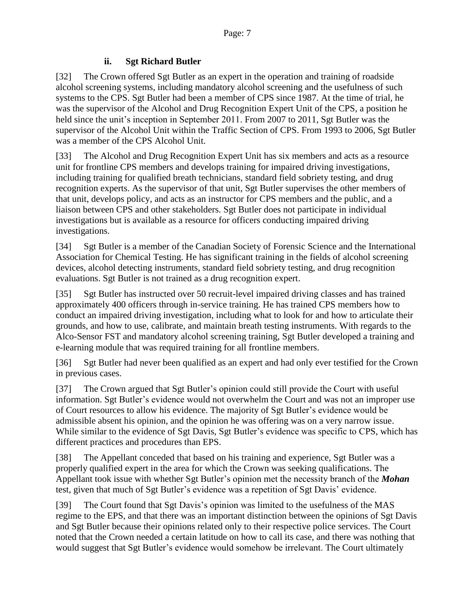### **ii. Sgt Richard Butler**

[32] The Crown offered Sgt Butler as an expert in the operation and training of roadside alcohol screening systems, including mandatory alcohol screening and the usefulness of such systems to the CPS. Sgt Butler had been a member of CPS since 1987. At the time of trial, he was the supervisor of the Alcohol and Drug Recognition Expert Unit of the CPS, a position he held since the unit's inception in September 2011. From 2007 to 2011, Sgt Butler was the supervisor of the Alcohol Unit within the Traffic Section of CPS. From 1993 to 2006, Sgt Butler was a member of the CPS Alcohol Unit.

[33] The Alcohol and Drug Recognition Expert Unit has six members and acts as a resource unit for frontline CPS members and develops training for impaired driving investigations, including training for qualified breath technicians, standard field sobriety testing, and drug recognition experts. As the supervisor of that unit, Sgt Butler supervises the other members of that unit, develops policy, and acts as an instructor for CPS members and the public, and a liaison between CPS and other stakeholders. Sgt Butler does not participate in individual investigations but is available as a resource for officers conducting impaired driving investigations.

[34] Sgt Butler is a member of the Canadian Society of Forensic Science and the International Association for Chemical Testing. He has significant training in the fields of alcohol screening devices, alcohol detecting instruments, standard field sobriety testing, and drug recognition evaluations. Sgt Butler is not trained as a drug recognition expert.

[35] Sgt Butler has instructed over 50 recruit-level impaired driving classes and has trained approximately 400 officers through in-service training. He has trained CPS members how to conduct an impaired driving investigation, including what to look for and how to articulate their grounds, and how to use, calibrate, and maintain breath testing instruments. With regards to the Alco-Sensor FST and mandatory alcohol screening training, Sgt Butler developed a training and e-learning module that was required training for all frontline members.

[36] Sgt Butler had never been qualified as an expert and had only ever testified for the Crown in previous cases.

[37] The Crown argued that Sgt Butler's opinion could still provide the Court with useful information. Sgt Butler's evidence would not overwhelm the Court and was not an improper use of Court resources to allow his evidence. The majority of Sgt Butler's evidence would be admissible absent his opinion, and the opinion he was offering was on a very narrow issue. While similar to the evidence of Sgt Davis, Sgt Butler's evidence was specific to CPS, which has different practices and procedures than EPS.

[38] The Appellant conceded that based on his training and experience, Sgt Butler was a properly qualified expert in the area for which the Crown was seeking qualifications. The Appellant took issue with whether Sgt Butler's opinion met the necessity branch of the *Mohan*  test, given that much of Sgt Butler's evidence was a repetition of Sgt Davis' evidence.

[39] The Court found that Sgt Davis's opinion was limited to the usefulness of the MAS regime to the EPS, and that there was an important distinction between the opinions of Sgt Davis and Sgt Butler because their opinions related only to their respective police services. The Court noted that the Crown needed a certain latitude on how to call its case, and there was nothing that would suggest that Sgt Butler's evidence would somehow be irrelevant. The Court ultimately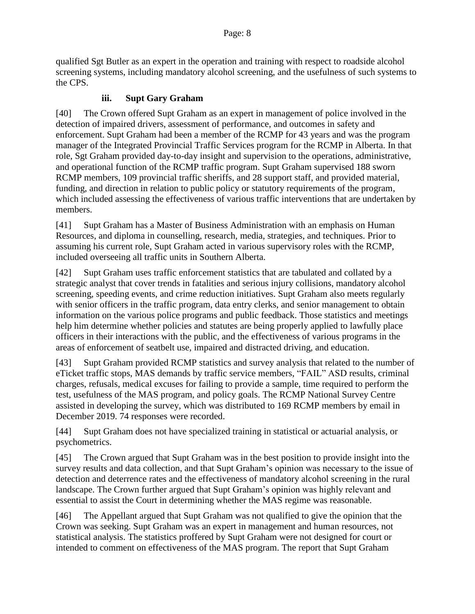qualified Sgt Butler as an expert in the operation and training with respect to roadside alcohol screening systems, including mandatory alcohol screening, and the usefulness of such systems to the CPS.

#### **iii. Supt Gary Graham**

[40] The Crown offered Supt Graham as an expert in management of police involved in the detection of impaired drivers, assessment of performance, and outcomes in safety and enforcement. Supt Graham had been a member of the RCMP for 43 years and was the program manager of the Integrated Provincial Traffic Services program for the RCMP in Alberta. In that role, Sgt Graham provided day-to-day insight and supervision to the operations, administrative, and operational function of the RCMP traffic program. Supt Graham supervised 188 sworn RCMP members, 109 provincial traffic sheriffs, and 28 support staff, and provided material, funding, and direction in relation to public policy or statutory requirements of the program, which included assessing the effectiveness of various traffic interventions that are undertaken by members.

[41] Supt Graham has a Master of Business Administration with an emphasis on Human Resources, and diploma in counselling, research, media, strategies, and techniques. Prior to assuming his current role, Supt Graham acted in various supervisory roles with the RCMP, included overseeing all traffic units in Southern Alberta.

[42] Supt Graham uses traffic enforcement statistics that are tabulated and collated by a strategic analyst that cover trends in fatalities and serious injury collisions, mandatory alcohol screening, speeding events, and crime reduction initiatives. Supt Graham also meets regularly with senior officers in the traffic program, data entry clerks, and senior management to obtain information on the various police programs and public feedback. Those statistics and meetings help him determine whether policies and statutes are being properly applied to lawfully place officers in their interactions with the public, and the effectiveness of various programs in the areas of enforcement of seatbelt use, impaired and distracted driving, and education.

[43] Supt Graham provided RCMP statistics and survey analysis that related to the number of eTicket traffic stops, MAS demands by traffic service members, "FAIL" ASD results, criminal charges, refusals, medical excuses for failing to provide a sample, time required to perform the test, usefulness of the MAS program, and policy goals. The RCMP National Survey Centre assisted in developing the survey, which was distributed to 169 RCMP members by email in December 2019. 74 responses were recorded.

[44] Supt Graham does not have specialized training in statistical or actuarial analysis, or psychometrics.

[45] The Crown argued that Supt Graham was in the best position to provide insight into the survey results and data collection, and that Supt Graham's opinion was necessary to the issue of detection and deterrence rates and the effectiveness of mandatory alcohol screening in the rural landscape. The Crown further argued that Supt Graham's opinion was highly relevant and essential to assist the Court in determining whether the MAS regime was reasonable.

[46] The Appellant argued that Supt Graham was not qualified to give the opinion that the Crown was seeking. Supt Graham was an expert in management and human resources, not statistical analysis. The statistics proffered by Supt Graham were not designed for court or intended to comment on effectiveness of the MAS program. The report that Supt Graham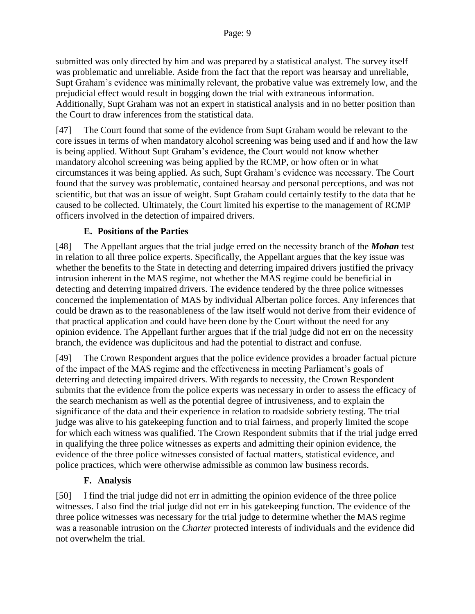submitted was only directed by him and was prepared by a statistical analyst. The survey itself was problematic and unreliable. Aside from the fact that the report was hearsay and unreliable, Supt Graham's evidence was minimally relevant, the probative value was extremely low, and the prejudicial effect would result in bogging down the trial with extraneous information. Additionally, Supt Graham was not an expert in statistical analysis and in no better position than the Court to draw inferences from the statistical data.

[47] The Court found that some of the evidence from Supt Graham would be relevant to the core issues in terms of when mandatory alcohol screening was being used and if and how the law is being applied. Without Supt Graham's evidence, the Court would not know whether mandatory alcohol screening was being applied by the RCMP, or how often or in what circumstances it was being applied. As such, Supt Graham's evidence was necessary. The Court found that the survey was problematic, contained hearsay and personal perceptions, and was not scientific, but that was an issue of weight. Supt Graham could certainly testify to the data that he caused to be collected. Ultimately, the Court limited his expertise to the management of RCMP officers involved in the detection of impaired drivers.

### **E. Positions of the Parties**

[48] The Appellant argues that the trial judge erred on the necessity branch of the *Mohan* test in relation to all three police experts. Specifically, the Appellant argues that the key issue was whether the benefits to the State in detecting and deterring impaired drivers justified the privacy intrusion inherent in the MAS regime, not whether the MAS regime could be beneficial in detecting and deterring impaired drivers. The evidence tendered by the three police witnesses concerned the implementation of MAS by individual Albertan police forces. Any inferences that could be drawn as to the reasonableness of the law itself would not derive from their evidence of that practical application and could have been done by the Court without the need for any opinion evidence. The Appellant further argues that if the trial judge did not err on the necessity branch, the evidence was duplicitous and had the potential to distract and confuse.

[49] The Crown Respondent argues that the police evidence provides a broader factual picture of the impact of the MAS regime and the effectiveness in meeting Parliament's goals of deterring and detecting impaired drivers. With regards to necessity, the Crown Respondent submits that the evidence from the police experts was necessary in order to assess the efficacy of the search mechanism as well as the potential degree of intrusiveness, and to explain the significance of the data and their experience in relation to roadside sobriety testing. The trial judge was alive to his gatekeeping function and to trial fairness, and properly limited the scope for which each witness was qualified. The Crown Respondent submits that if the trial judge erred in qualifying the three police witnesses as experts and admitting their opinion evidence, the evidence of the three police witnesses consisted of factual matters, statistical evidence, and police practices, which were otherwise admissible as common law business records.

### **F. Analysis**

[50] I find the trial judge did not err in admitting the opinion evidence of the three police witnesses. I also find the trial judge did not err in his gatekeeping function. The evidence of the three police witnesses was necessary for the trial judge to determine whether the MAS regime was a reasonable intrusion on the *Charter* protected interests of individuals and the evidence did not overwhelm the trial.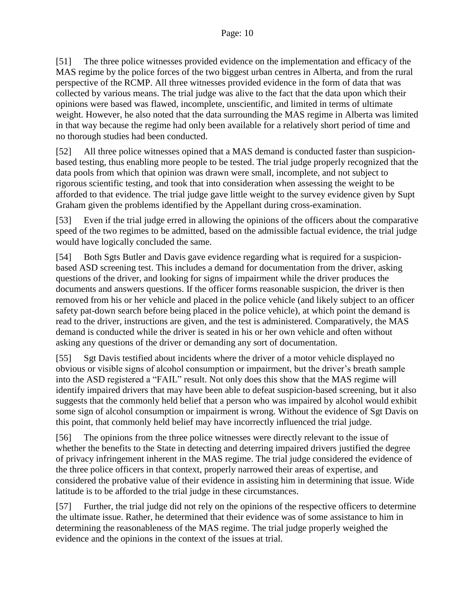[51] The three police witnesses provided evidence on the implementation and efficacy of the MAS regime by the police forces of the two biggest urban centres in Alberta, and from the rural perspective of the RCMP. All three witnesses provided evidence in the form of data that was collected by various means. The trial judge was alive to the fact that the data upon which their opinions were based was flawed, incomplete, unscientific, and limited in terms of ultimate weight. However, he also noted that the data surrounding the MAS regime in Alberta was limited in that way because the regime had only been available for a relatively short period of time and no thorough studies had been conducted.

[52] All three police witnesses opined that a MAS demand is conducted faster than suspicionbased testing, thus enabling more people to be tested. The trial judge properly recognized that the data pools from which that opinion was drawn were small, incomplete, and not subject to rigorous scientific testing, and took that into consideration when assessing the weight to be afforded to that evidence. The trial judge gave little weight to the survey evidence given by Supt Graham given the problems identified by the Appellant during cross-examination.

[53] Even if the trial judge erred in allowing the opinions of the officers about the comparative speed of the two regimes to be admitted, based on the admissible factual evidence, the trial judge would have logically concluded the same.

[54] Both Sgts Butler and Davis gave evidence regarding what is required for a suspicionbased ASD screening test. This includes a demand for documentation from the driver, asking questions of the driver, and looking for signs of impairment while the driver produces the documents and answers questions. If the officer forms reasonable suspicion, the driver is then removed from his or her vehicle and placed in the police vehicle (and likely subject to an officer safety pat-down search before being placed in the police vehicle), at which point the demand is read to the driver, instructions are given, and the test is administered. Comparatively, the MAS demand is conducted while the driver is seated in his or her own vehicle and often without asking any questions of the driver or demanding any sort of documentation.

[55] Sgt Davis testified about incidents where the driver of a motor vehicle displayed no obvious or visible signs of alcohol consumption or impairment, but the driver's breath sample into the ASD registered a "FAIL" result. Not only does this show that the MAS regime will identify impaired drivers that may have been able to defeat suspicion-based screening, but it also suggests that the commonly held belief that a person who was impaired by alcohol would exhibit some sign of alcohol consumption or impairment is wrong. Without the evidence of Sgt Davis on this point, that commonly held belief may have incorrectly influenced the trial judge.

[56] The opinions from the three police witnesses were directly relevant to the issue of whether the benefits to the State in detecting and deterring impaired drivers justified the degree of privacy infringement inherent in the MAS regime. The trial judge considered the evidence of the three police officers in that context, properly narrowed their areas of expertise, and considered the probative value of their evidence in assisting him in determining that issue. Wide latitude is to be afforded to the trial judge in these circumstances.

[57] Further, the trial judge did not rely on the opinions of the respective officers to determine the ultimate issue. Rather, he determined that their evidence was of some assistance to him in determining the reasonableness of the MAS regime. The trial judge properly weighed the evidence and the opinions in the context of the issues at trial.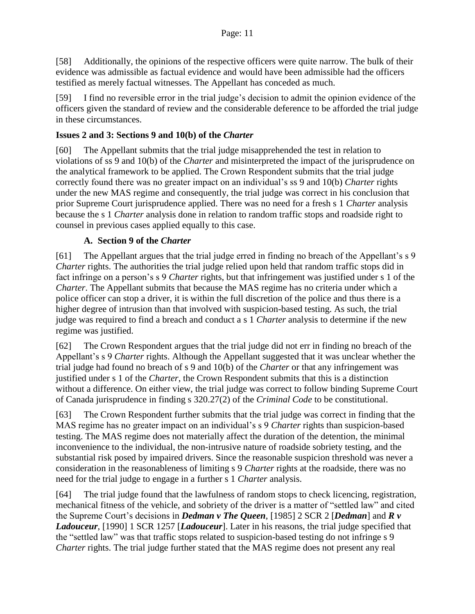[58] Additionally, the opinions of the respective officers were quite narrow. The bulk of their evidence was admissible as factual evidence and would have been admissible had the officers testified as merely factual witnesses. The Appellant has conceded as much.

[59] I find no reversible error in the trial judge's decision to admit the opinion evidence of the officers given the standard of review and the considerable deference to be afforded the trial judge in these circumstances.

### **Issues 2 and 3: Sections 9 and 10(b) of the** *Charter*

[60] The Appellant submits that the trial judge misapprehended the test in relation to violations of ss 9 and 10(b) of the *Charter* and misinterpreted the impact of the jurisprudence on the analytical framework to be applied. The Crown Respondent submits that the trial judge correctly found there was no greater impact on an individual's ss 9 and 10(b) *Charter* rights under the new MAS regime and consequently, the trial judge was correct in his conclusion that prior Supreme Court jurisprudence applied. There was no need for a fresh s 1 *Charter* analysis because the s 1 *Charter* analysis done in relation to random traffic stops and roadside right to counsel in previous cases applied equally to this case.

### **A. Section 9 of the** *Charter*

[61] The Appellant argues that the trial judge erred in finding no breach of the Appellant's s 9 *Charter* rights. The authorities the trial judge relied upon held that random traffic stops did in fact infringe on a person's s 9 *Charter* rights, but that infringement was justified under s 1 of the *Charter*. The Appellant submits that because the MAS regime has no criteria under which a police officer can stop a driver, it is within the full discretion of the police and thus there is a higher degree of intrusion than that involved with suspicion-based testing. As such, the trial judge was required to find a breach and conduct a s 1 *Charter* analysis to determine if the new regime was justified.

[62] The Crown Respondent argues that the trial judge did not err in finding no breach of the Appellant's s 9 *Charter* rights. Although the Appellant suggested that it was unclear whether the trial judge had found no breach of s 9 and 10(b) of the *Charter* or that any infringement was justified under s 1 of the *Charter*, the Crown Respondent submits that this is a distinction without a difference. On either view, the trial judge was correct to follow binding Supreme Court of Canada jurisprudence in finding s 320.27(2) of the *Criminal Code* to be constitutional.

[63] The Crown Respondent further submits that the trial judge was correct in finding that the MAS regime has no greater impact on an individual's s 9 *Charter* rights than suspicion-based testing. The MAS regime does not materially affect the duration of the detention, the minimal inconvenience to the individual, the non-intrusive nature of roadside sobriety testing, and the substantial risk posed by impaired drivers. Since the reasonable suspicion threshold was never a consideration in the reasonableness of limiting s 9 *Charter* rights at the roadside, there was no need for the trial judge to engage in a further s 1 *Charter* analysis.

[64] The trial judge found that the lawfulness of random stops to check licencing, registration, mechanical fitness of the vehicle, and sobriety of the driver is a matter of "settled law" and cited the Supreme Court's decisions in *Dedman v The Queen*, [1985] 2 SCR 2 [*Dedman*] and *R v Ladouceur*, [1990] 1 SCR 1257 [*Ladouceur*]. Later in his reasons, the trial judge specified that the "settled law" was that traffic stops related to suspicion-based testing do not infringe s 9 *Charter rights.* The trial judge further stated that the MAS regime does not present any real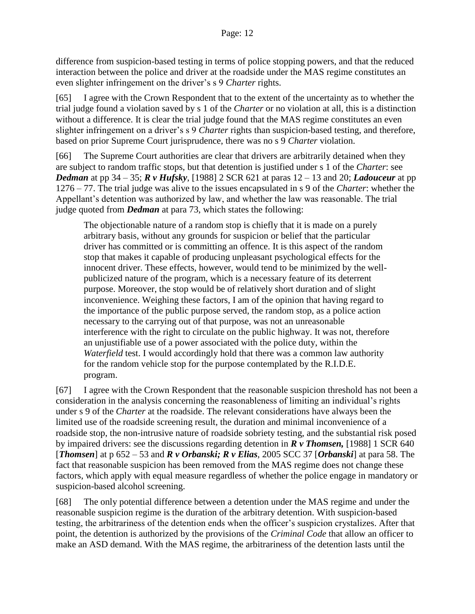difference from suspicion-based testing in terms of police stopping powers, and that the reduced interaction between the police and driver at the roadside under the MAS regime constitutes an even slighter infringement on the driver's s 9 *Charter* rights.

[65] I agree with the Crown Respondent that to the extent of the uncertainty as to whether the trial judge found a violation saved by s 1 of the *Charter* or no violation at all, this is a distinction without a difference. It is clear the trial judge found that the MAS regime constitutes an even slighter infringement on a driver's s 9 *Charter* rights than suspicion-based testing, and therefore, based on prior Supreme Court jurisprudence, there was no s 9 *Charter* violation.

[66] The Supreme Court authorities are clear that drivers are arbitrarily detained when they are subject to random traffic stops, but that detention is justified under s 1 of the *Charter*: see *Dedman* at pp 34 – 35; *R v Hufsky*, [1988] 2 SCR 621 at paras 12 – 13 and 20; *Ladouceur* at pp 1276 – 77. The trial judge was alive to the issues encapsulated in s 9 of the *Charter*: whether the Appellant's detention was authorized by law, and whether the law was reasonable. The trial judge quoted from *Dedman* at para 73, which states the following:

The objectionable nature of a random stop is chiefly that it is made on a purely arbitrary basis, without any grounds for suspicion or belief that the particular driver has committed or is committing an offence. It is this aspect of the random stop that makes it capable of producing unpleasant psychological effects for the innocent driver. These effects, however, would tend to be minimized by the wellpublicized nature of the program, which is a necessary feature of its deterrent purpose. Moreover, the stop would be of relatively short duration and of slight inconvenience. Weighing these factors, I am of the opinion that having regard to the importance of the public purpose served, the random stop, as a police action necessary to the carrying out of that purpose, was not an unreasonable interference with the right to circulate on the public highway. It was not, therefore an unjustifiable use of a power associated with the police duty, within the *Waterfield* test. I would accordingly hold that there was a common law authority for the random vehicle stop for the purpose contemplated by the R.I.D.E. program.

[67] I agree with the Crown Respondent that the reasonable suspicion threshold has not been a consideration in the analysis concerning the reasonableness of limiting an individual's rights under s 9 of the *Charter* at the roadside. The relevant considerations have always been the limited use of the roadside screening result, the duration and minimal inconvenience of a roadside stop, the non-intrusive nature of roadside sobriety testing, and the substantial risk posed by impaired drivers: see the discussions regarding detention in *R v Thomsen,* [1988] 1 SCR 640 [*Thomsen*] at p 652 – 53 and *R v Orbanski; R v Elias*, 2005 SCC 37 [*Orbanski*] at para 58. The fact that reasonable suspicion has been removed from the MAS regime does not change these factors, which apply with equal measure regardless of whether the police engage in mandatory or suspicion-based alcohol screening.

[68] The only potential difference between a detention under the MAS regime and under the reasonable suspicion regime is the duration of the arbitrary detention. With suspicion-based testing, the arbitrariness of the detention ends when the officer's suspicion crystalizes. After that point, the detention is authorized by the provisions of the *Criminal Code* that allow an officer to make an ASD demand. With the MAS regime, the arbitrariness of the detention lasts until the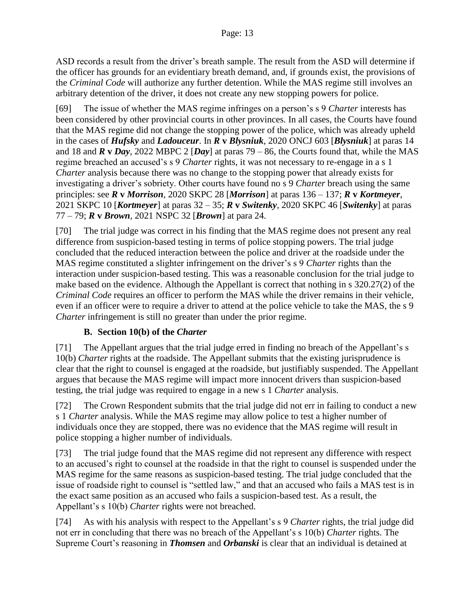ASD records a result from the driver's breath sample. The result from the ASD will determine if the officer has grounds for an evidentiary breath demand, and, if grounds exist, the provisions of the *Criminal Code* will authorize any further detention. While the MAS regime still involves an arbitrary detention of the driver, it does not create any new stopping powers for police.

[69] The issue of whether the MAS regime infringes on a person's s 9 *Charter* interests has been considered by other provincial courts in other provinces. In all cases, the Courts have found that the MAS regime did not change the stopping power of the police, which was already upheld in the cases of *Hufsky* and *Ladouceur*. In *R* **v** *Blysniuk*, 2020 ONCJ 603 [*Blysniuk*] at paras 14 and 18 and  $\vec{R} \times \vec{Day}$ , 2022 MBPC 2 [*Day*] at paras 79 – 86, the Courts found that, while the MAS regime breached an accused's s 9 *Charter* rights, it was not necessary to re-engage in a s 1 *Charter* analysis because there was no change to the stopping power that already exists for investigating a driver's sobriety. Other courts have found no s 9 *Charter* breach using the same principles: see *R* **v** *Morrison*, 2020 SKPC 28 [*Morrison*] at paras 136 – 137; *R* **v** *Kortmeyer*, 2021 SKPC 10 [*Kortmeyer*] at paras 32 – 35; *R* **v** *Switenky*, 2020 SKPC 46 [*Switenky*] at paras 77 – 79; *R* **v** *Brown*, 2021 NSPC 32 [*Brown*] at para 24.

[70] The trial judge was correct in his finding that the MAS regime does not present any real difference from suspicion-based testing in terms of police stopping powers. The trial judge concluded that the reduced interaction between the police and driver at the roadside under the MAS regime constituted a slighter infringement on the driver's s 9 *Charter* rights than the interaction under suspicion-based testing. This was a reasonable conclusion for the trial judge to make based on the evidence. Although the Appellant is correct that nothing in s 320.27(2) of the *Criminal Code* requires an officer to perform the MAS while the driver remains in their vehicle, even if an officer were to require a driver to attend at the police vehicle to take the MAS, the s 9 *Charter* infringement is still no greater than under the prior regime.

### **B. Section 10(b) of the** *Charter*

[71] The Appellant argues that the trial judge erred in finding no breach of the Appellant's s 10(b) *Charter* rights at the roadside. The Appellant submits that the existing jurisprudence is clear that the right to counsel is engaged at the roadside, but justifiably suspended. The Appellant argues that because the MAS regime will impact more innocent drivers than suspicion-based testing, the trial judge was required to engage in a new s 1 *Charter* analysis.

[72] The Crown Respondent submits that the trial judge did not err in failing to conduct a new s 1 *Charter* analysis. While the MAS regime may allow police to test a higher number of individuals once they are stopped, there was no evidence that the MAS regime will result in police stopping a higher number of individuals.

[73] The trial judge found that the MAS regime did not represent any difference with respect to an accused's right to counsel at the roadside in that the right to counsel is suspended under the MAS regime for the same reasons as suspicion-based testing. The trial judge concluded that the issue of roadside right to counsel is "settled law," and that an accused who fails a MAS test is in the exact same position as an accused who fails a suspicion-based test. As a result, the Appellant's s 10(b) *Charter* rights were not breached.

[74] As with his analysis with respect to the Appellant's s 9 *Charter* rights, the trial judge did not err in concluding that there was no breach of the Appellant's s 10(b) *Charter* rights. The Supreme Court's reasoning in *Thomsen* and *Orbanski* is clear that an individual is detained at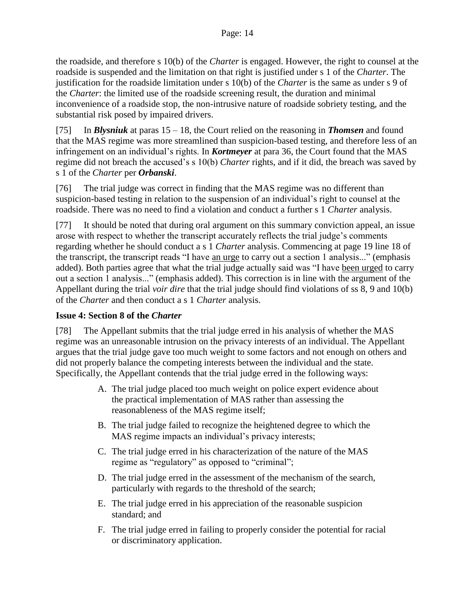the roadside, and therefore s 10(b) of the *Charter* is engaged. However, the right to counsel at the roadside is suspended and the limitation on that right is justified under s 1 of the *Charter*. The justification for the roadside limitation under s 10(b) of the *Charter* is the same as under s 9 of the *Charter*: the limited use of the roadside screening result, the duration and minimal inconvenience of a roadside stop, the non-intrusive nature of roadside sobriety testing, and the substantial risk posed by impaired drivers.

[75] In *Blysniuk* at paras 15 – 18, the Court relied on the reasoning in *Thomsen* and found that the MAS regime was more streamlined than suspicion-based testing, and therefore less of an infringement on an individual's rights. In *Kortmeyer* at para 36, the Court found that the MAS regime did not breach the accused's s 10(b) *Charter* rights, and if it did, the breach was saved by s 1 of the *Charter* per *Orbanski*.

[76] The trial judge was correct in finding that the MAS regime was no different than suspicion-based testing in relation to the suspension of an individual's right to counsel at the roadside. There was no need to find a violation and conduct a further s 1 *Charter* analysis.

[77] It should be noted that during oral argument on this summary conviction appeal, an issue arose with respect to whether the transcript accurately reflects the trial judge's comments regarding whether he should conduct a s 1 *Charter* analysis. Commencing at page 19 line 18 of the transcript, the transcript reads "I have an urge to carry out a section 1 analysis..." (emphasis added). Both parties agree that what the trial judge actually said was "I have been urged to carry out a section 1 analysis..." (emphasis added). This correction is in line with the argument of the Appellant during the trial *voir dire* that the trial judge should find violations of ss 8, 9 and 10(b) of the *Charter* and then conduct a s 1 *Charter* analysis.

### **Issue 4: Section 8 of the** *Charter*

[78] The Appellant submits that the trial judge erred in his analysis of whether the MAS regime was an unreasonable intrusion on the privacy interests of an individual. The Appellant argues that the trial judge gave too much weight to some factors and not enough on others and did not properly balance the competing interests between the individual and the state. Specifically, the Appellant contends that the trial judge erred in the following ways:

- A. The trial judge placed too much weight on police expert evidence about the practical implementation of MAS rather than assessing the reasonableness of the MAS regime itself;
- B. The trial judge failed to recognize the heightened degree to which the MAS regime impacts an individual's privacy interests;
- C. The trial judge erred in his characterization of the nature of the MAS regime as "regulatory" as opposed to "criminal";
- D. The trial judge erred in the assessment of the mechanism of the search, particularly with regards to the threshold of the search;
- E. The trial judge erred in his appreciation of the reasonable suspicion standard; and
- F. The trial judge erred in failing to properly consider the potential for racial or discriminatory application.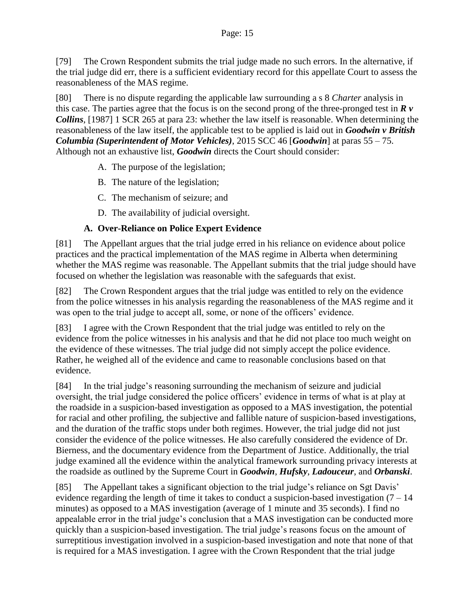[79] The Crown Respondent submits the trial judge made no such errors. In the alternative, if the trial judge did err, there is a sufficient evidentiary record for this appellate Court to assess the reasonableness of the MAS regime.

[80] There is no dispute regarding the applicable law surrounding a s 8 *Charter* analysis in this case. The parties agree that the focus is on the second prong of the three-pronged test in  $\mathbb{R}$   $\nu$ *Collins*, [1987] 1 SCR 265 at para 23: whether the law itself is reasonable. When determining the reasonableness of the law itself, the applicable test to be applied is laid out in *Goodwin v British Columbia (Superintendent of Motor Vehicles)*, 2015 SCC 46 [*Goodwin*] at paras 55 – 75. Although not an exhaustive list, *Goodwin* directs the Court should consider:

- A. The purpose of the legislation;
- B. The nature of the legislation;
- C. The mechanism of seizure; and
- D. The availability of judicial oversight.

### **A. Over-Reliance on Police Expert Evidence**

[81] The Appellant argues that the trial judge erred in his reliance on evidence about police practices and the practical implementation of the MAS regime in Alberta when determining whether the MAS regime was reasonable. The Appellant submits that the trial judge should have focused on whether the legislation was reasonable with the safeguards that exist.

[82] The Crown Respondent argues that the trial judge was entitled to rely on the evidence from the police witnesses in his analysis regarding the reasonableness of the MAS regime and it was open to the trial judge to accept all, some, or none of the officers' evidence.

[83] I agree with the Crown Respondent that the trial judge was entitled to rely on the evidence from the police witnesses in his analysis and that he did not place too much weight on the evidence of these witnesses. The trial judge did not simply accept the police evidence. Rather, he weighed all of the evidence and came to reasonable conclusions based on that evidence.

[84] In the trial judge's reasoning surrounding the mechanism of seizure and judicial oversight, the trial judge considered the police officers' evidence in terms of what is at play at the roadside in a suspicion-based investigation as opposed to a MAS investigation, the potential for racial and other profiling, the subjective and fallible nature of suspicion-based investigations, and the duration of the traffic stops under both regimes. However, the trial judge did not just consider the evidence of the police witnesses. He also carefully considered the evidence of Dr. Bierness, and the documentary evidence from the Department of Justice. Additionally, the trial judge examined all the evidence within the analytical framework surrounding privacy interests at the roadside as outlined by the Supreme Court in *Goodwin*, *Hufsky*, *Ladouceur*, and *Orbanski*.

[85] The Appellant takes a significant objection to the trial judge's reliance on Sgt Davis' evidence regarding the length of time it takes to conduct a suspicion-based investigation  $(7 - 14)$ minutes) as opposed to a MAS investigation (average of 1 minute and 35 seconds). I find no appealable error in the trial judge's conclusion that a MAS investigation can be conducted more quickly than a suspicion-based investigation. The trial judge's reasons focus on the amount of surreptitious investigation involved in a suspicion-based investigation and note that none of that is required for a MAS investigation. I agree with the Crown Respondent that the trial judge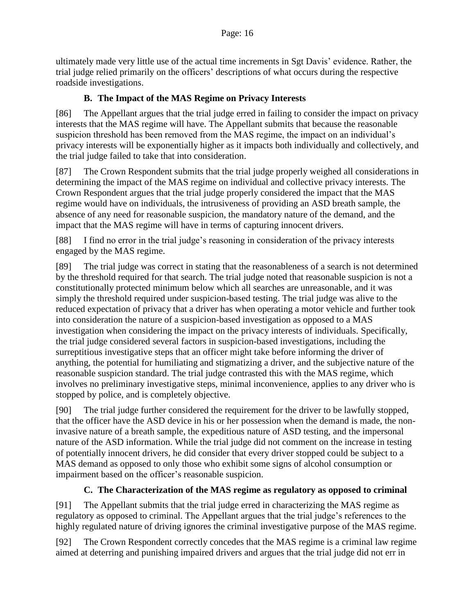ultimately made very little use of the actual time increments in Sgt Davis' evidence. Rather, the trial judge relied primarily on the officers' descriptions of what occurs during the respective roadside investigations.

## **B. The Impact of the MAS Regime on Privacy Interests**

[86] The Appellant argues that the trial judge erred in failing to consider the impact on privacy interests that the MAS regime will have. The Appellant submits that because the reasonable suspicion threshold has been removed from the MAS regime, the impact on an individual's privacy interests will be exponentially higher as it impacts both individually and collectively, and the trial judge failed to take that into consideration.

[87] The Crown Respondent submits that the trial judge properly weighed all considerations in determining the impact of the MAS regime on individual and collective privacy interests. The Crown Respondent argues that the trial judge properly considered the impact that the MAS regime would have on individuals, the intrusiveness of providing an ASD breath sample, the absence of any need for reasonable suspicion, the mandatory nature of the demand, and the impact that the MAS regime will have in terms of capturing innocent drivers.

[88] I find no error in the trial judge's reasoning in consideration of the privacy interests engaged by the MAS regime.

[89] The trial judge was correct in stating that the reasonableness of a search is not determined by the threshold required for that search. The trial judge noted that reasonable suspicion is not a constitutionally protected minimum below which all searches are unreasonable, and it was simply the threshold required under suspicion-based testing. The trial judge was alive to the reduced expectation of privacy that a driver has when operating a motor vehicle and further took into consideration the nature of a suspicion-based investigation as opposed to a MAS investigation when considering the impact on the privacy interests of individuals. Specifically, the trial judge considered several factors in suspicion-based investigations, including the surreptitious investigative steps that an officer might take before informing the driver of anything, the potential for humiliating and stigmatizing a driver, and the subjective nature of the reasonable suspicion standard. The trial judge contrasted this with the MAS regime, which involves no preliminary investigative steps, minimal inconvenience, applies to any driver who is stopped by police, and is completely objective.

[90] The trial judge further considered the requirement for the driver to be lawfully stopped, that the officer have the ASD device in his or her possession when the demand is made, the noninvasive nature of a breath sample, the expeditious nature of ASD testing, and the impersonal nature of the ASD information. While the trial judge did not comment on the increase in testing of potentially innocent drivers, he did consider that every driver stopped could be subject to a MAS demand as opposed to only those who exhibit some signs of alcohol consumption or impairment based on the officer's reasonable suspicion.

## **C. The Characterization of the MAS regime as regulatory as opposed to criminal**

[91] The Appellant submits that the trial judge erred in characterizing the MAS regime as regulatory as opposed to criminal. The Appellant argues that the trial judge's references to the highly regulated nature of driving ignores the criminal investigative purpose of the MAS regime.

[92] The Crown Respondent correctly concedes that the MAS regime is a criminal law regime aimed at deterring and punishing impaired drivers and argues that the trial judge did not err in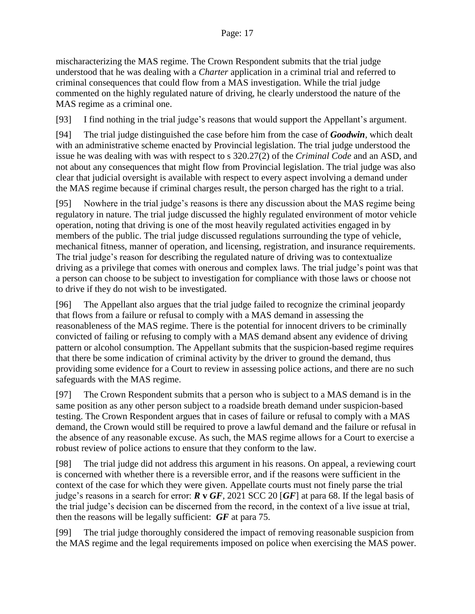mischaracterizing the MAS regime. The Crown Respondent submits that the trial judge understood that he was dealing with a *Charter* application in a criminal trial and referred to criminal consequences that could flow from a MAS investigation. While the trial judge commented on the highly regulated nature of driving, he clearly understood the nature of the MAS regime as a criminal one.

[93] I find nothing in the trial judge's reasons that would support the Appellant's argument.

[94] The trial judge distinguished the case before him from the case of *Goodwin*, which dealt with an administrative scheme enacted by Provincial legislation. The trial judge understood the issue he was dealing with was with respect to s 320.27(2) of the *Criminal Code* and an ASD, and not about any consequences that might flow from Provincial legislation. The trial judge was also clear that judicial oversight is available with respect to every aspect involving a demand under the MAS regime because if criminal charges result, the person charged has the right to a trial.

[95] Nowhere in the trial judge's reasons is there any discussion about the MAS regime being regulatory in nature. The trial judge discussed the highly regulated environment of motor vehicle operation, noting that driving is one of the most heavily regulated activities engaged in by members of the public. The trial judge discussed regulations surrounding the type of vehicle, mechanical fitness, manner of operation, and licensing, registration, and insurance requirements. The trial judge's reason for describing the regulated nature of driving was to contextualize driving as a privilege that comes with onerous and complex laws. The trial judge's point was that a person can choose to be subject to investigation for compliance with those laws or choose not to drive if they do not wish to be investigated.

[96] The Appellant also argues that the trial judge failed to recognize the criminal jeopardy that flows from a failure or refusal to comply with a MAS demand in assessing the reasonableness of the MAS regime. There is the potential for innocent drivers to be criminally convicted of failing or refusing to comply with a MAS demand absent any evidence of driving pattern or alcohol consumption. The Appellant submits that the suspicion-based regime requires that there be some indication of criminal activity by the driver to ground the demand, thus providing some evidence for a Court to review in assessing police actions, and there are no such safeguards with the MAS regime.

[97] The Crown Respondent submits that a person who is subject to a MAS demand is in the same position as any other person subject to a roadside breath demand under suspicion-based testing. The Crown Respondent argues that in cases of failure or refusal to comply with a MAS demand, the Crown would still be required to prove a lawful demand and the failure or refusal in the absence of any reasonable excuse. As such, the MAS regime allows for a Court to exercise a robust review of police actions to ensure that they conform to the law.

[98] The trial judge did not address this argument in his reasons. On appeal, a reviewing court is concerned with whether there is a reversible error, and if the reasons were sufficient in the context of the case for which they were given. Appellate courts must not finely parse the trial judge's reasons in a search for error: *R* **v** *GF*, 2021 SCC 20 [*GF*] at para 68. If the legal basis of the trial judge's decision can be discerned from the record, in the context of a live issue at trial, then the reasons will be legally sufficient: *GF* at para 75.

[99] The trial judge thoroughly considered the impact of removing reasonable suspicion from the MAS regime and the legal requirements imposed on police when exercising the MAS power.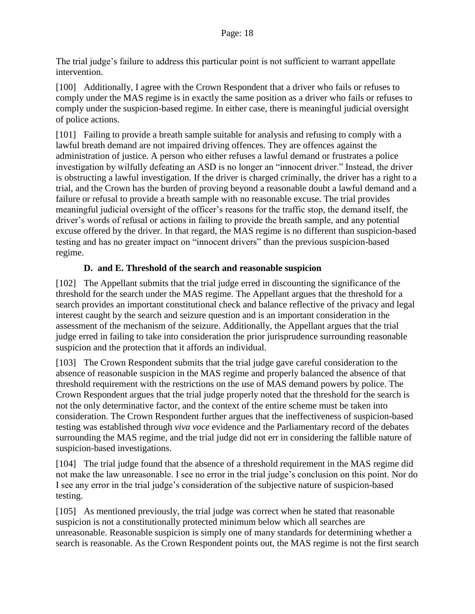The trial judge's failure to address this particular point is not sufficient to warrant appellate intervention.

[100] Additionally, I agree with the Crown Respondent that a driver who fails or refuses to comply under the MAS regime is in exactly the same position as a driver who fails or refuses to comply under the suspicion-based regime. In either case, there is meaningful judicial oversight of police actions.

[101] Failing to provide a breath sample suitable for analysis and refusing to comply with a lawful breath demand are not impaired driving offences. They are offences against the administration of justice. A person who either refuses a lawful demand or frustrates a police investigation by wilfully defeating an ASD is no longer an "innocent driver." Instead, the driver is obstructing a lawful investigation. If the driver is charged criminally, the driver has a right to a trial, and the Crown has the burden of proving beyond a reasonable doubt a lawful demand and a failure or refusal to provide a breath sample with no reasonable excuse. The trial provides meaningful judicial oversight of the officer's reasons for the traffic stop, the demand itself, the driver's words of refusal or actions in failing to provide the breath sample, and any potential excuse offered by the driver. In that regard, the MAS regime is no different than suspicion-based testing and has no greater impact on "innocent drivers" than the previous suspicion-based regime.

### **D. and E. Threshold of the search and reasonable suspicion**

[102] The Appellant submits that the trial judge erred in discounting the significance of the threshold for the search under the MAS regime. The Appellant argues that the threshold for a search provides an important constitutional check and balance reflective of the privacy and legal interest caught by the search and seizure question and is an important consideration in the assessment of the mechanism of the seizure. Additionally, the Appellant argues that the trial judge erred in failing to take into consideration the prior jurisprudence surrounding reasonable suspicion and the protection that it affords an individual.

[103] The Crown Respondent submits that the trial judge gave careful consideration to the absence of reasonable suspicion in the MAS regime and properly balanced the absence of that threshold requirement with the restrictions on the use of MAS demand powers by police. The Crown Respondent argues that the trial judge properly noted that the threshold for the search is not the only determinative factor, and the context of the entire scheme must be taken into consideration. The Crown Respondent further argues that the ineffectiveness of suspicion-based testing was established through *viva voce* evidence and the Parliamentary record of the debates surrounding the MAS regime, and the trial judge did not err in considering the fallible nature of suspicion-based investigations.

[104] The trial judge found that the absence of a threshold requirement in the MAS regime did not make the law unreasonable. I see no error in the trial judge's conclusion on this point. Nor do I see any error in the trial judge's consideration of the subjective nature of suspicion-based testing.

[105] As mentioned previously, the trial judge was correct when he stated that reasonable suspicion is not a constitutionally protected minimum below which all searches are unreasonable. Reasonable suspicion is simply one of many standards for determining whether a search is reasonable. As the Crown Respondent points out, the MAS regime is not the first search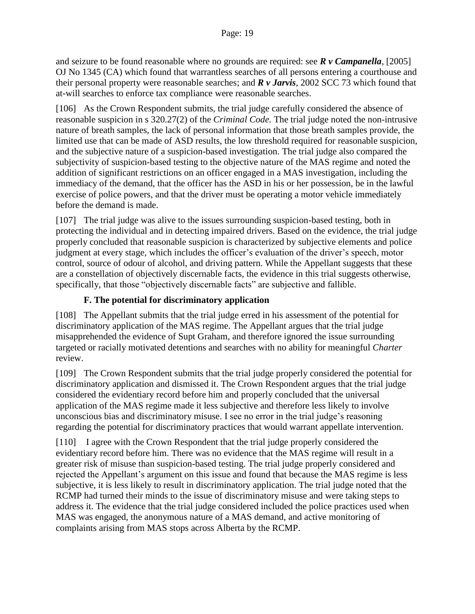and seizure to be found reasonable where no grounds are required: see *R v Campanella*, [2005] OJ No 1345 (CA) which found that warrantless searches of all persons entering a courthouse and their personal property were reasonable searches; and *R v Jarvis*, 2002 SCC 73 which found that at-will searches to enforce tax compliance were reasonable searches.

[106] As the Crown Respondent submits, the trial judge carefully considered the absence of reasonable suspicion in s 320.27(2) of the *Criminal Code.* The trial judge noted the non-intrusive nature of breath samples, the lack of personal information that those breath samples provide, the limited use that can be made of ASD results, the low threshold required for reasonable suspicion, and the subjective nature of a suspicion-based investigation. The trial judge also compared the subjectivity of suspicion-based testing to the objective nature of the MAS regime and noted the addition of significant restrictions on an officer engaged in a MAS investigation, including the immediacy of the demand, that the officer has the ASD in his or her possession, be in the lawful exercise of police powers, and that the driver must be operating a motor vehicle immediately before the demand is made.

[107] The trial judge was alive to the issues surrounding suspicion-based testing, both in protecting the individual and in detecting impaired drivers. Based on the evidence, the trial judge properly concluded that reasonable suspicion is characterized by subjective elements and police judgment at every stage, which includes the officer's evaluation of the driver's speech, motor control, source of odour of alcohol, and driving pattern. While the Appellant suggests that these are a constellation of objectively discernable facts, the evidence in this trial suggests otherwise, specifically, that those "objectively discernable facts" are subjective and fallible.

## **F. The potential for discriminatory application**

[108] The Appellant submits that the trial judge erred in his assessment of the potential for discriminatory application of the MAS regime. The Appellant argues that the trial judge misapprehended the evidence of Supt Graham, and therefore ignored the issue surrounding targeted or racially motivated detentions and searches with no ability for meaningful *Charter*  review.

[109] The Crown Respondent submits that the trial judge properly considered the potential for discriminatory application and dismissed it. The Crown Respondent argues that the trial judge considered the evidentiary record before him and properly concluded that the universal application of the MAS regime made it less subjective and therefore less likely to involve unconscious bias and discriminatory misuse. I see no error in the trial judge's reasoning regarding the potential for discriminatory practices that would warrant appellate intervention.

[110] I agree with the Crown Respondent that the trial judge properly considered the evidentiary record before him. There was no evidence that the MAS regime will result in a greater risk of misuse than suspicion-based testing. The trial judge properly considered and rejected the Appellant's argument on this issue and found that because the MAS regime is less subjective, it is less likely to result in discriminatory application. The trial judge noted that the RCMP had turned their minds to the issue of discriminatory misuse and were taking steps to address it. The evidence that the trial judge considered included the police practices used when MAS was engaged, the anonymous nature of a MAS demand, and active monitoring of complaints arising from MAS stops across Alberta by the RCMP.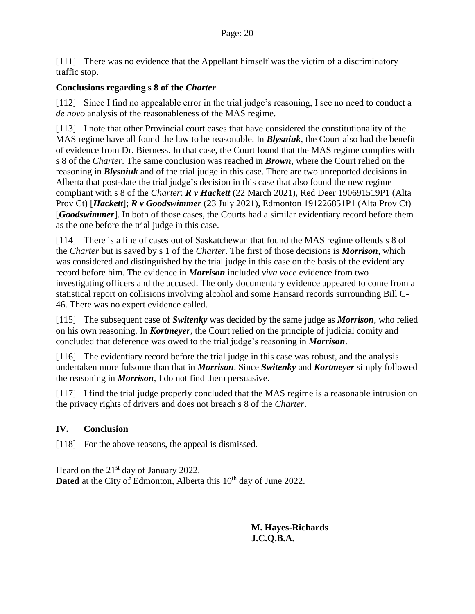[111] There was no evidence that the Appellant himself was the victim of a discriminatory traffic stop.

#### **Conclusions regarding s 8 of the** *Charter*

[112] Since I find no appealable error in the trial judge's reasoning, I see no need to conduct a *de novo* analysis of the reasonableness of the MAS regime.

[113] I note that other Provincial court cases that have considered the constitutionality of the MAS regime have all found the law to be reasonable. In *Blysniuk*, the Court also had the benefit of evidence from Dr. Bierness. In that case, the Court found that the MAS regime complies with s 8 of the *Charter*. The same conclusion was reached in *Brown*, where the Court relied on the reasoning in *Blysniuk* and of the trial judge in this case. There are two unreported decisions in Alberta that post-date the trial judge's decision in this case that also found the new regime compliant with s 8 of the *Charter*: *R v Hackett* (22 March 2021), Red Deer 190691519P1 (Alta Prov Ct) [*Hackett*]; *R v Goodswimmer* (23 July 2021), Edmonton 191226851P1 (Alta Prov Ct) [*Goodswimmer*]. In both of those cases, the Courts had a similar evidentiary record before them as the one before the trial judge in this case.

[114] There is a line of cases out of Saskatchewan that found the MAS regime offends s 8 of the *Charter* but is saved by s 1 of the *Charter*. The first of those decisions is *Morrison*, which was considered and distinguished by the trial judge in this case on the basis of the evidentiary record before him. The evidence in *Morrison* included *viva voce* evidence from two investigating officers and the accused. The only documentary evidence appeared to come from a statistical report on collisions involving alcohol and some Hansard records surrounding Bill C-46. There was no expert evidence called.

[115] The subsequent case of *Switenky* was decided by the same judge as *Morrison*, who relied on his own reasoning. In *Kortmeyer*, the Court relied on the principle of judicial comity and concluded that deference was owed to the trial judge's reasoning in *Morrison*.

[116] The evidentiary record before the trial judge in this case was robust, and the analysis undertaken more fulsome than that in *Morrison*. Since *Switenky* and *Kortmeyer* simply followed the reasoning in *Morrison*, I do not find them persuasive.

[117] I find the trial judge properly concluded that the MAS regime is a reasonable intrusion on the privacy rights of drivers and does not breach s 8 of the *Charter*.

#### **IV. Conclusion**

[118] For the above reasons, the appeal is dismissed.

Heard on the 21<sup>st</sup> day of January 2022. **Dated** at the City of Edmonton, Alberta this 10<sup>th</sup> day of June 2022.

> **M. Hayes-Richards J.C.Q.B.A.**